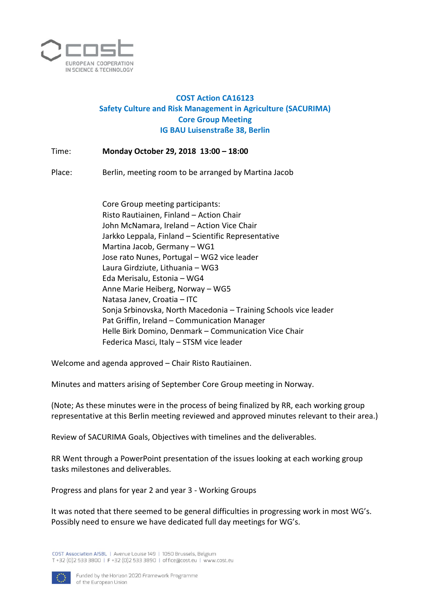

## **COST Action CA16123 Safety Culture and Risk Management in Agriculture (SACURIMA) Core Group Meeting IG BAU Luisenstraße 38, Berlin**

Time: **Monday October 29, 2018 13:00 – 18:00**

Place: Berlin, meeting room to be arranged by Martina Jacob

Core Group meeting participants: Risto Rautiainen, Finland – Action Chair John McNamara, Ireland – Action Vice Chair Jarkko Leppala, Finland – Scientific Representative Martina Jacob, Germany – WG1 Jose rato Nunes, Portugal – WG2 vice leader Laura Girdziute, Lithuania – WG3 Eda Merisalu, Estonia – WG4 Anne Marie Heiberg, Norway – WG5 Natasa Janev, Croatia – ITC Sonja Srbinovska, North Macedonia – Training Schools vice leader Pat Griffin, Ireland – Communication Manager Helle Birk Domino, Denmark – Communication Vice Chair Federica Masci, Italy – STSM vice leader

Welcome and agenda approved – Chair Risto Rautiainen.

Minutes and matters arising of September Core Group meeting in Norway.

(Note; As these minutes were in the process of being finalized by RR, each working group representative at this Berlin meeting reviewed and approved minutes relevant to their area.)

Review of SACURIMA Goals, Objectives with timelines and the deliverables.

RR Went through a PowerPoint presentation of the issues looking at each working group tasks milestones and deliverables.

Progress and plans for year 2 and year 3 - Working Groups

It was noted that there seemed to be general difficulties in progressing work in most WG's. Possibly need to ensure we have dedicated full day meetings for WG's.

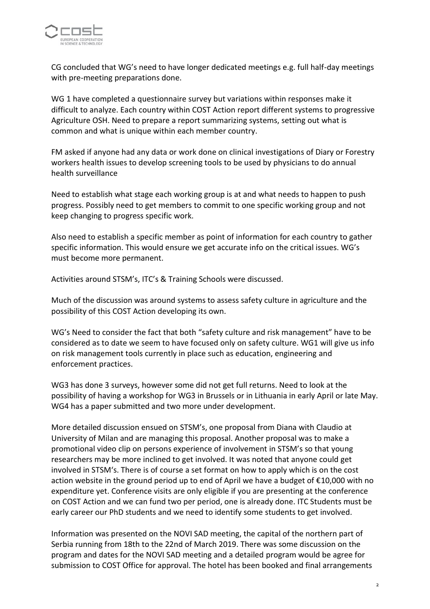

CG concluded that WG's need to have longer dedicated meetings e.g. full half-day meetings with pre-meeting preparations done.

WG 1 have completed a questionnaire survey but variations within responses make it difficult to analyze. Each country within COST Action report different systems to progressive Agriculture OSH. Need to prepare a report summarizing systems, setting out what is common and what is unique within each member country.

FM asked if anyone had any data or work done on clinical investigations of Diary or Forestry workers health issues to develop screening tools to be used by physicians to do annual health surveillance

Need to establish what stage each working group is at and what needs to happen to push progress. Possibly need to get members to commit to one specific working group and not keep changing to progress specific work.

Also need to establish a specific member as point of information for each country to gather specific information. This would ensure we get accurate info on the critical issues. WG's must become more permanent.

Activities around STSM's, ITC's & Training Schools were discussed.

Much of the discussion was around systems to assess safety culture in agriculture and the possibility of this COST Action developing its own.

WG's Need to consider the fact that both "safety culture and risk management" have to be considered as to date we seem to have focused only on safety culture. WG1 will give us info on risk management tools currently in place such as education, engineering and enforcement practices.

WG3 has done 3 surveys, however some did not get full returns. Need to look at the possibility of having a workshop for WG3 in Brussels or in Lithuania in early April or late May. WG4 has a paper submitted and two more under development.

More detailed discussion ensued on STSM's, one proposal from Diana with Claudio at University of Milan and are managing this proposal. Another proposal was to make a promotional video clip on persons experience of involvement in STSM's so that young researchers may be more inclined to get involved. It was noted that anyone could get involved in STSM's. There is of course a set format on how to apply which is on the cost action website in the ground period up to end of April we have a budget of €10,000 with no expenditure yet. Conference visits are only eligible if you are presenting at the conference on COST Action and we can fund two per period, one is already done. ITC Students must be early career our PhD students and we need to identify some students to get involved.

Information was presented on the NOVI SAD meeting, the capital of the northern part of Serbia running from 18th to the 22nd of March 2019. There was some discussion on the program and dates for the NOVI SAD meeting and a detailed program would be agree for submission to COST Office for approval. The hotel has been booked and final arrangements